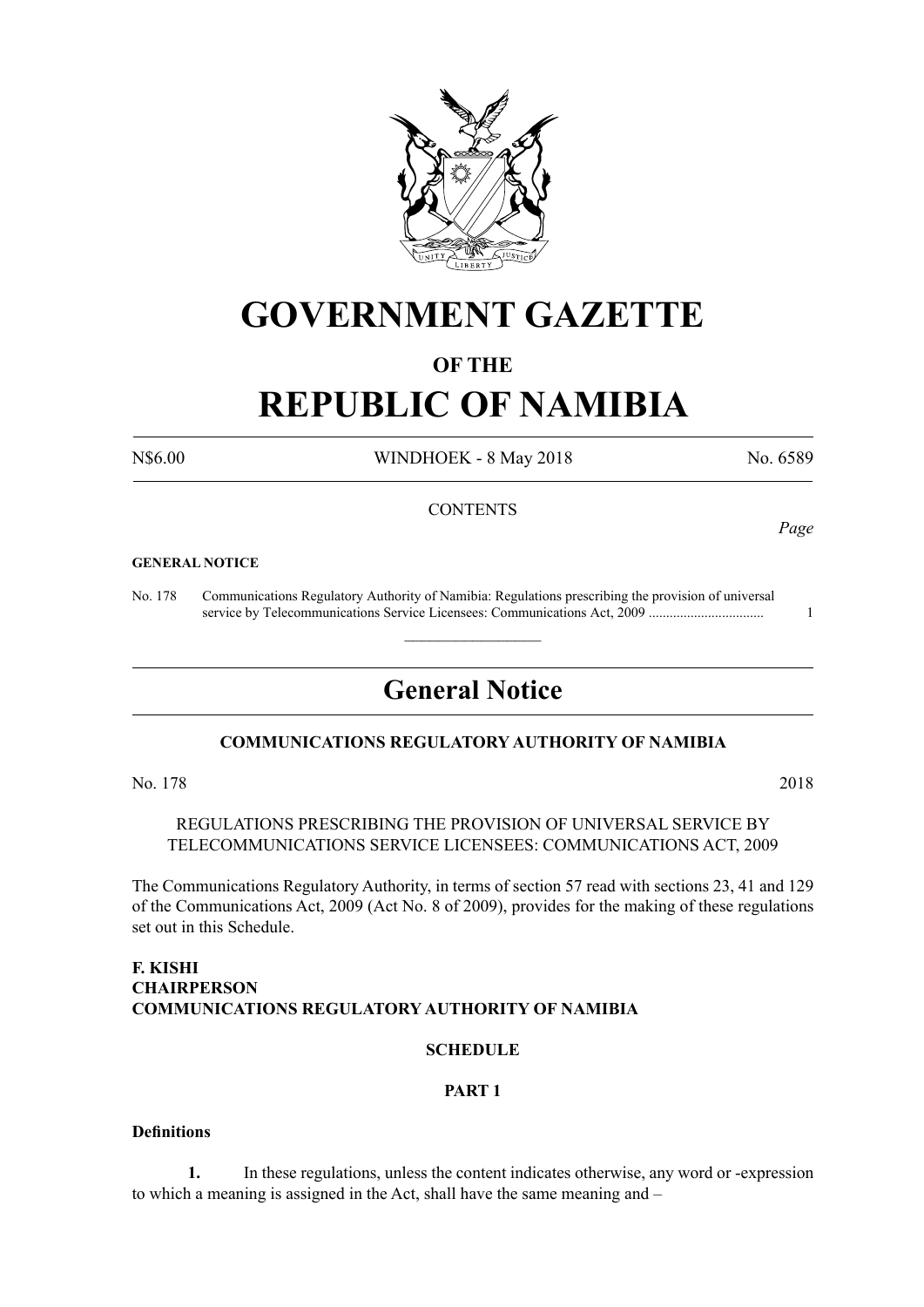

# **GOVERNMENT GAZETTE**

## **OF THE**

# **REPUBLIC OF NAMIBIA**

N\$6.00 WINDHOEK - 8 May 2018 No. 6589

#### **CONTENTS**

#### **GENERAL NOTICE**

No. 178 Communications Regulatory Authority of Namibia: Regulations prescribing the provision of universal service by Telecommunications Service Licensees: Communications Act, 2009 ................................. 1

# **General Notice**

 $\overline{\phantom{a}}$  , where  $\overline{\phantom{a}}$ 

#### **COMMUNICATIONS REGULATORY AUTHORITY OF NAMIBIA**

No. 178 2018

REGULATIONS PRESCRIBING THE PROVISION OF UNIVERSAL SERVICE BY TELECOMMUNICATIONS SERVICE LICENSEES: COMMUNICATIONS ACT, 2009

The Communications Regulatory Authority, in terms of section 57 read with sections 23, 41 and 129 of the Communications Act, 2009 (Act No. 8 of 2009), provides for the making of these regulations set out in this Schedule.

#### **F. KISHI CHAIRPERSON COMMUNICATIONS REGULATORY AUTHORITY OF NAMIBIA**

#### **SCHEDULE**

#### **PART 1**

#### **Definitions**

**1.** In these regulations, unless the content indicates otherwise, any word or -expression to which a meaning is assigned in the Act, shall have the same meaning and –

*Page*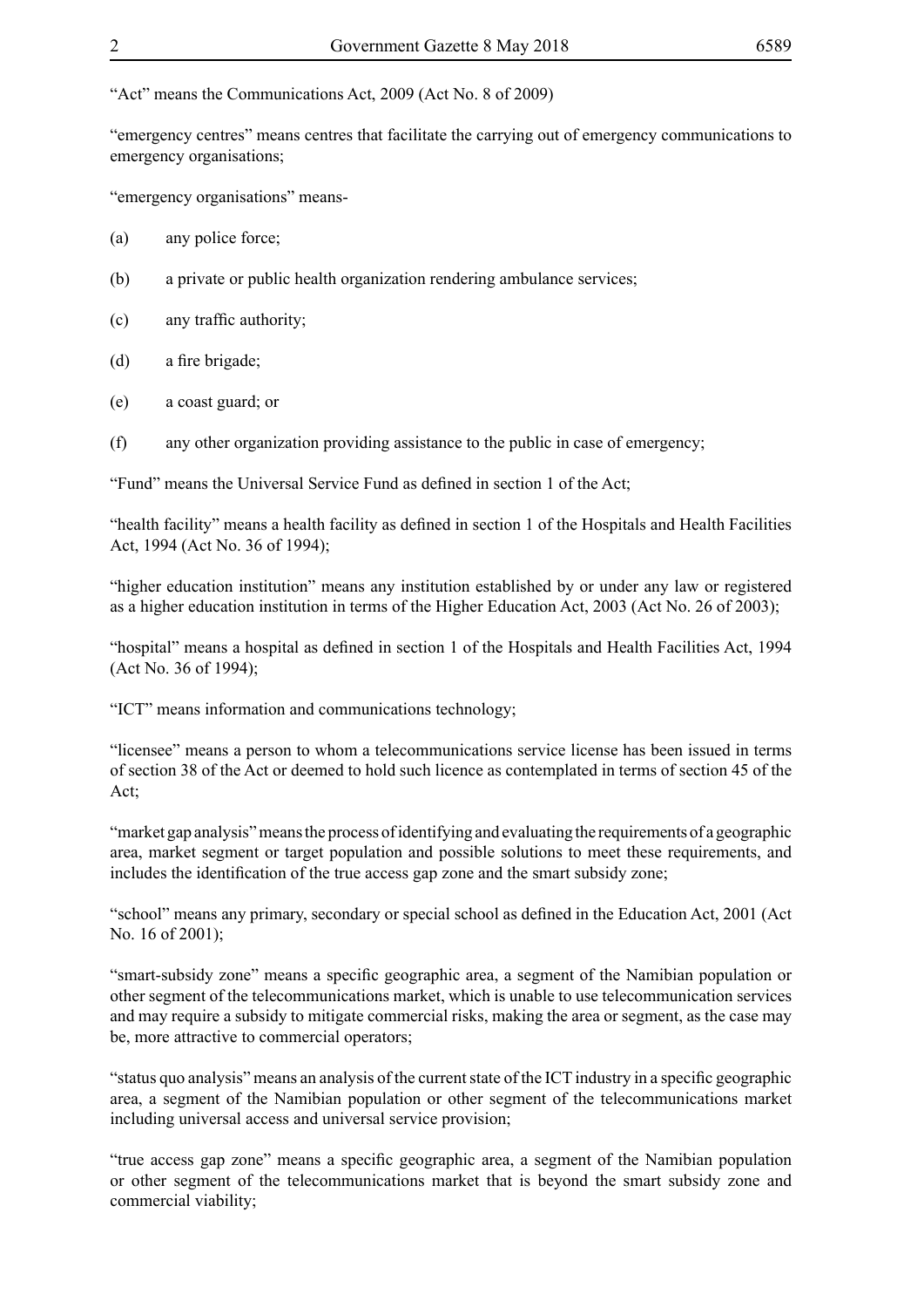"Act" means the Communications Act, 2009 (Act No. 8 of 2009)

"emergency centres" means centres that facilitate the carrying out of emergency communications to emergency organisations;

"emergency organisations" means-

- (a) any police force;
- (b) a private or public health organization rendering ambulance services;
- (c) any traffic authority;
- (d) a fire brigade;
- (e) a coast guard; or
- (f) any other organization providing assistance to the public in case of emergency;

"Fund" means the Universal Service Fund as defined in section 1 of the Act;

"health facility" means a health facility as defined in section 1 of the Hospitals and Health Facilities Act, 1994 (Act No. 36 of 1994);

"higher education institution" means any institution established by or under any law or registered as a higher education institution in terms of the Higher Education Act, 2003 (Act No. 26 of 2003);

"hospital" means a hospital as defined in section 1 of the Hospitals and Health Facilities Act, 1994 (Act No. 36 of 1994);

"ICT" means information and communications technology;

"licensee" means a person to whom a telecommunications service license has been issued in terms of section 38 of the Act or deemed to hold such licence as contemplated in terms of section 45 of the Act;

"market gap analysis" means the process of identifying and evaluating the requirements of a geographic area, market segment or target population and possible solutions to meet these requirements, and includes the identification of the true access gap zone and the smart subsidy zone;

"school" means any primary, secondary or special school as defined in the Education Act, 2001 (Act No. 16 of 2001);

"smart-subsidy zone" means a specific geographic area, a segment of the Namibian population or other segment of the telecommunications market, which is unable to use telecommunication services and may require a subsidy to mitigate commercial risks, making the area or segment, as the case may be, more attractive to commercial operators;

"status quo analysis" means an analysis of the current state of the ICT industry in a specific geographic area, a segment of the Namibian population or other segment of the telecommunications market including universal access and universal service provision;

"true access gap zone" means a specific geographic area, a segment of the Namibian population or other segment of the telecommunications market that is beyond the smart subsidy zone and commercial viability;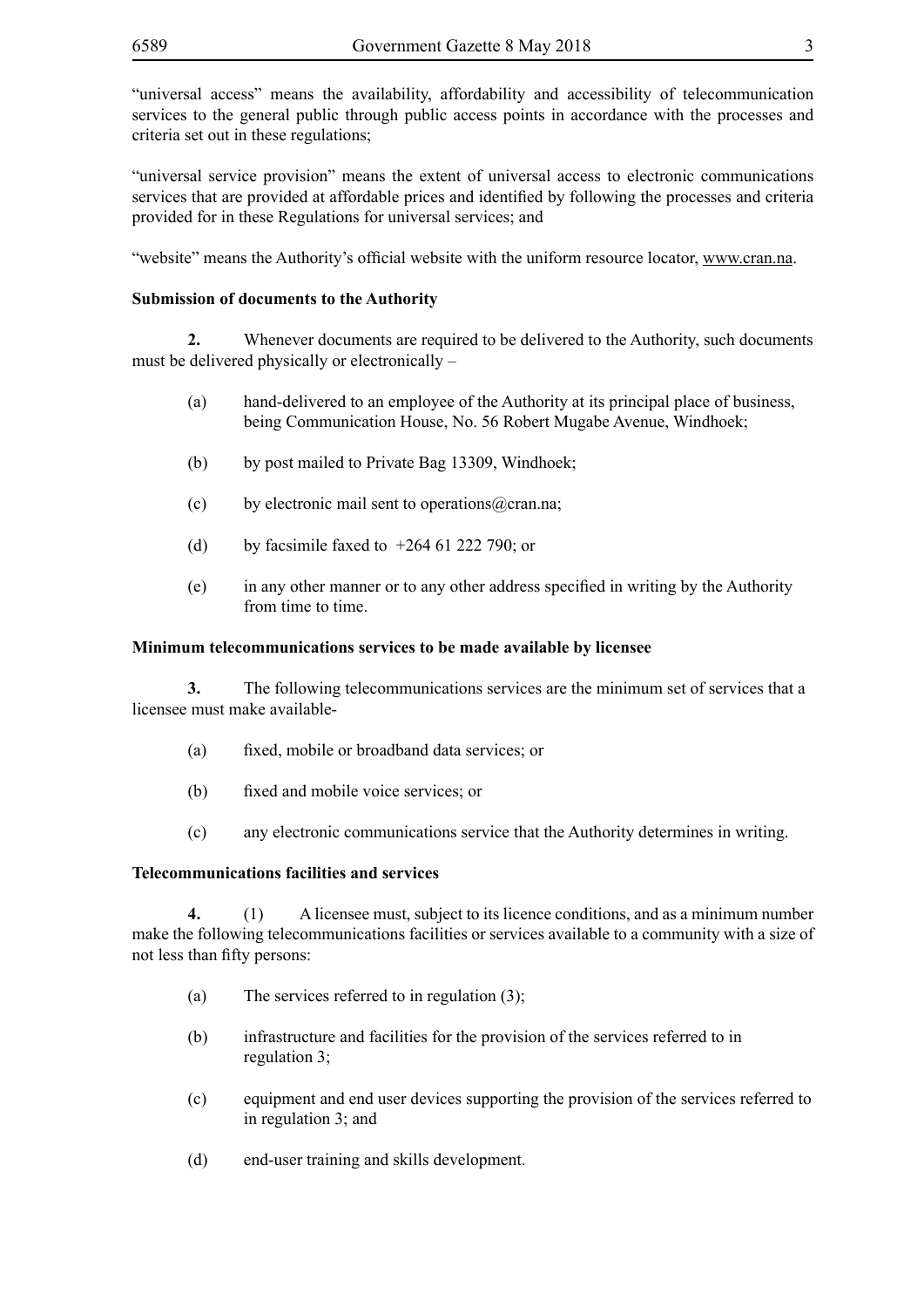"universal access" means the availability, affordability and accessibility of telecommunication services to the general public through public access points in accordance with the processes and criteria set out in these regulations;

"universal service provision" means the extent of universal access to electronic communications services that are provided at affordable prices and identified by following the processes and criteria provided for in these Regulations for universal services; and

"website" means the Authority's official website with the uniform resource locator, www.cran.na.

#### **Submission of documents to the Authority**

**2.** Whenever documents are required to be delivered to the Authority, such documents must be delivered physically or electronically –

- (a) hand-delivered to an employee of the Authority at its principal place of business, being Communication House, No. 56 Robert Mugabe Avenue, Windhoek;
- (b) by post mailed to Private Bag 13309, Windhoek;
- (c) by electronic mail sent to operations  $\omega$  cran.na;
- (d) by facsimile faxed to  $+264 61 222 790$ ; or
- (e) in any other manner or to any other address specified in writing by the Authority from time to time.

#### **Minimum telecommunications services to be made available by licensee**

**3.** The following telecommunications services are the minimum set of services that a licensee must make available-

- (a) fixed, mobile or broadband data services; or
- (b) fixed and mobile voice services; or
- (c) any electronic communications service that the Authority determines in writing.

#### **Telecommunications facilities and services**

**4.** (1) A licensee must, subject to its licence conditions, and as a minimum number make the following telecommunications facilities or services available to a community with a size of not less than fifty persons:

- (a) The services referred to in regulation (3);
- (b) infrastructure and facilities for the provision of the services referred to in regulation 3;
- (c) equipment and end user devices supporting the provision of the services referred to in regulation 3; and
- (d) end-user training and skills development.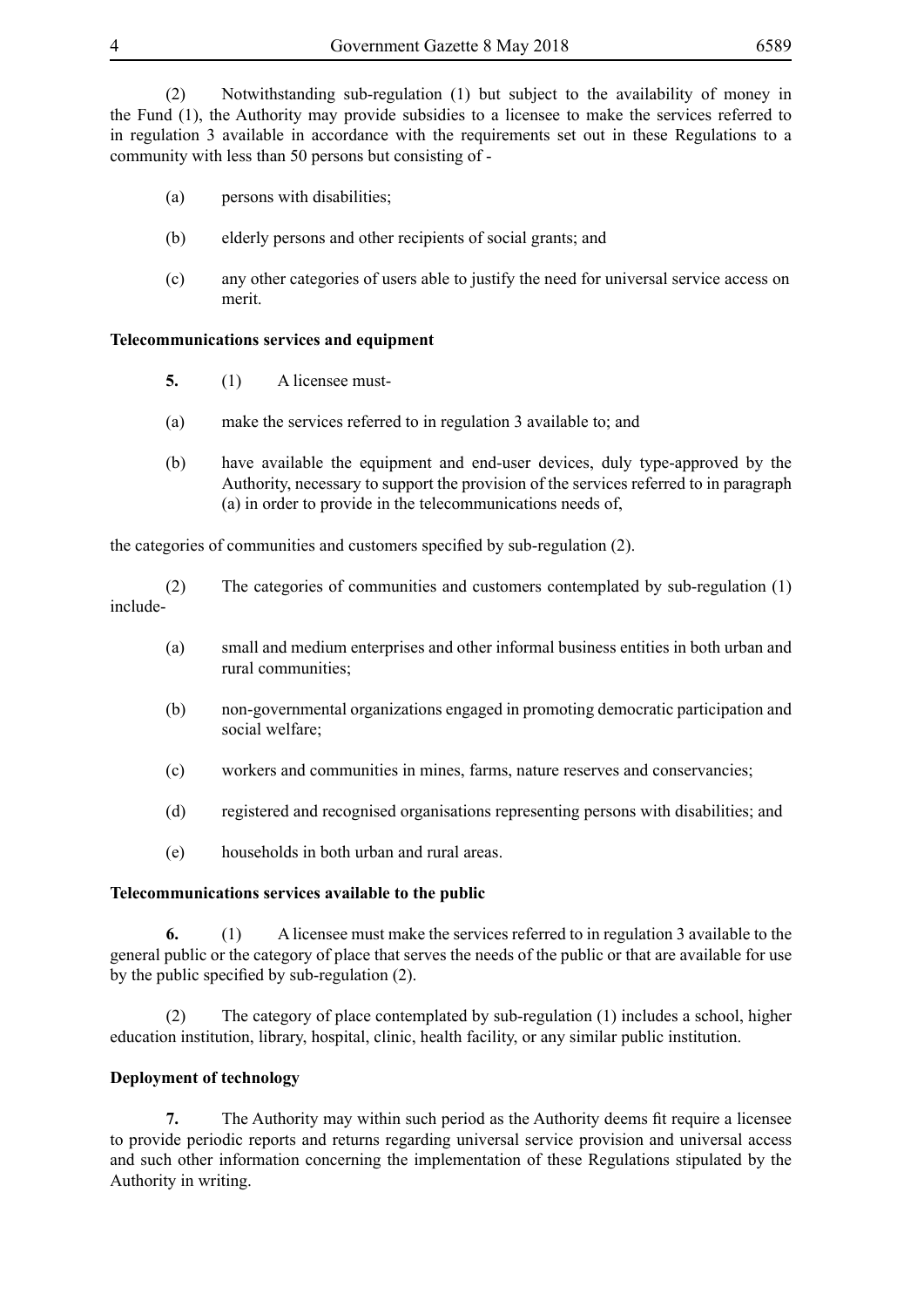(2) Notwithstanding sub-regulation (1) but subject to the availability of money in the Fund (1), the Authority may provide subsidies to a licensee to make the services referred to in regulation 3 available in accordance with the requirements set out in these Regulations to a community with less than 50 persons but consisting of -

- (a) persons with disabilities;
- (b) elderly persons and other recipients of social grants; and
- (c) any other categories of users able to justify the need for universal service access on merit.

### **Telecommunications services and equipment**

- **5.** (1) A licensee must-
- (a) make the services referred to in regulation 3 available to; and
- (b) have available the equipment and end-user devices, duly type-approved by the Authority, necessary to support the provision of the services referred to in paragraph (a) in order to provide in the telecommunications needs of,

the categories of communities and customers specified by sub-regulation (2).

(2) The categories of communities and customers contemplated by sub-regulation (1) include-

- (a) small and medium enterprises and other informal business entities in both urban and rural communities;
- (b) non-governmental organizations engaged in promoting democratic participation and social welfare;
- (c) workers and communities in mines, farms, nature reserves and conservancies;
- (d) registered and recognised organisations representing persons with disabilities; and
- (e) households in both urban and rural areas.

#### **Telecommunications services available to the public**

**6.** (1) A licensee must make the services referred to in regulation 3 available to the general public or the category of place that serves the needs of the public or that are available for use by the public specified by sub-regulation (2).

(2) The category of place contemplated by sub-regulation (1) includes a school, higher education institution, library, hospital, clinic, health facility, or any similar public institution.

## **Deployment of technology**

**7.** The Authority may within such period as the Authority deems fit require a licensee to provide periodic reports and returns regarding universal service provision and universal access and such other information concerning the implementation of these Regulations stipulated by the Authority in writing.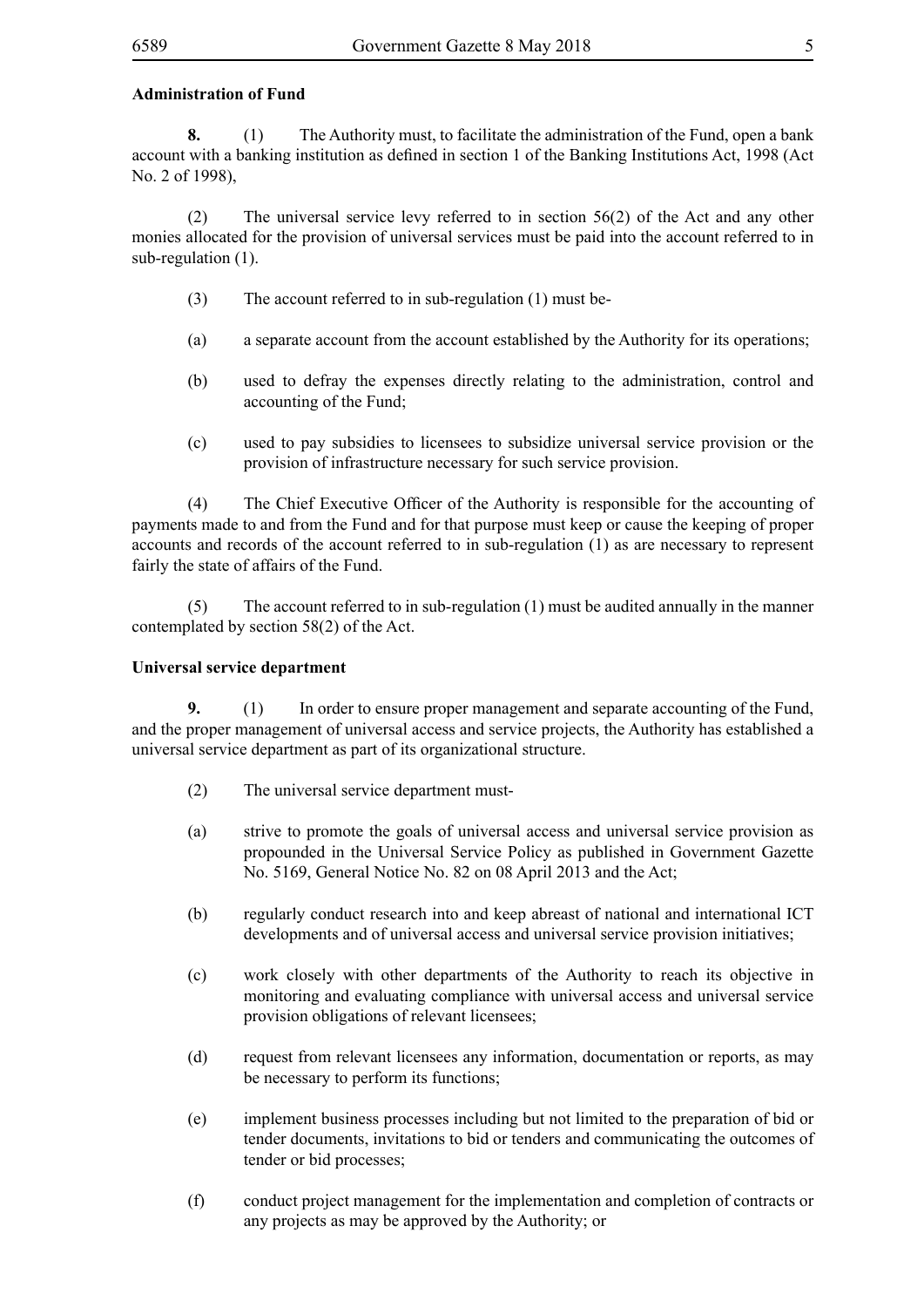#### **Administration of Fund**

**8.** (1) The Authority must, to facilitate the administration of the Fund, open a bank account with a banking institution as defined in section 1 of the Banking Institutions Act, 1998 (Act No. 2 of 1998),

(2) The universal service levy referred to in section 56(2) of the Act and any other monies allocated for the provision of universal services must be paid into the account referred to in sub-regulation (1).

- (3) The account referred to in sub-regulation (1) must be-
- (a) a separate account from the account established by the Authority for its operations;
- (b) used to defray the expenses directly relating to the administration, control and accounting of the Fund;
- (c) used to pay subsidies to licensees to subsidize universal service provision or the provision of infrastructure necessary for such service provision.

 (4) The Chief Executive Officer of the Authority is responsible for the accounting of payments made to and from the Fund and for that purpose must keep or cause the keeping of proper accounts and records of the account referred to in sub-regulation (1) as are necessary to represent fairly the state of affairs of the Fund.

(5) The account referred to in sub-regulation (1) must be audited annually in the manner contemplated by section 58(2) of the Act.

#### **Universal service department**

**9.** (1) In order to ensure proper management and separate accounting of the Fund, and the proper management of universal access and service projects, the Authority has established a universal service department as part of its organizational structure.

- (2) The universal service department must-
- (a) strive to promote the goals of universal access and universal service provision as propounded in the Universal Service Policy as published in Government Gazette No. 5169, General Notice No. 82 on 08 April 2013 and the Act;
- (b) regularly conduct research into and keep abreast of national and international ICT developments and of universal access and universal service provision initiatives;
- (c) work closely with other departments of the Authority to reach its objective in monitoring and evaluating compliance with universal access and universal service provision obligations of relevant licensees;
- (d) request from relevant licensees any information, documentation or reports, as may be necessary to perform its functions;
- (e) implement business processes including but not limited to the preparation of bid or tender documents, invitations to bid or tenders and communicating the outcomes of tender or bid processes;
- (f) conduct project management for the implementation and completion of contracts or any projects as may be approved by the Authority; or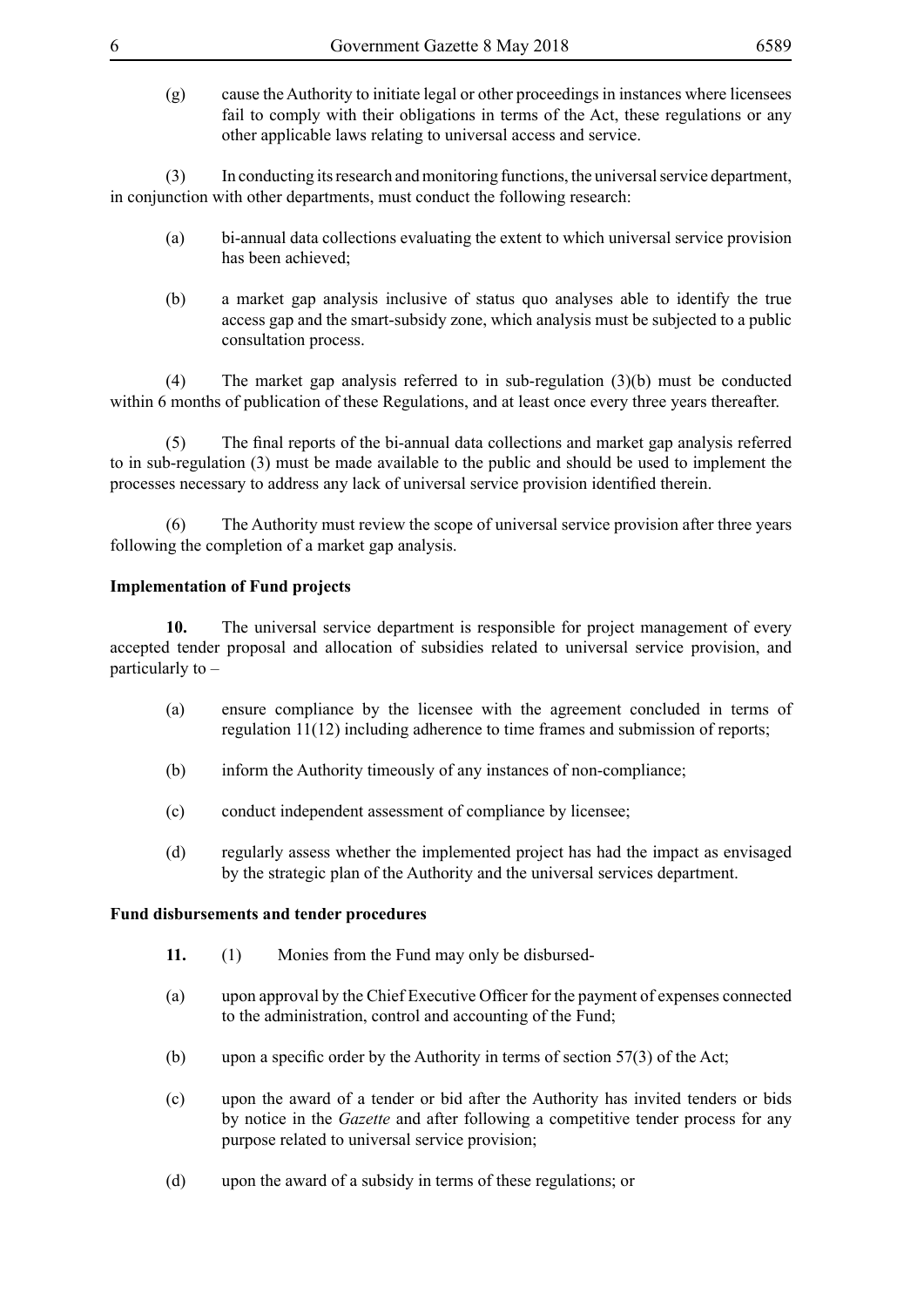(g) cause the Authority to initiate legal or other proceedings in instances where licensees fail to comply with their obligations in terms of the Act, these regulations or any other applicable laws relating to universal access and service.

(3) In conducting its research and monitoring functions, the universal service department, in conjunction with other departments, must conduct the following research:

- (a) bi-annual data collections evaluating the extent to which universal service provision has been achieved;
- (b) a market gap analysis inclusive of status quo analyses able to identify the true access gap and the smart-subsidy zone, which analysis must be subjected to a public consultation process.

(4) The market gap analysis referred to in sub-regulation (3)(b) must be conducted within 6 months of publication of these Regulations, and at least once every three years thereafter.

 (5) The final reports of the bi-annual data collections and market gap analysis referred to in sub-regulation (3) must be made available to the public and should be used to implement the processes necessary to address any lack of universal service provision identified therein.

(6) The Authority must review the scope of universal service provision after three years following the completion of a market gap analysis.

#### **Implementation of Fund projects**

**10.** The universal service department is responsible for project management of every accepted tender proposal and allocation of subsidies related to universal service provision, and particularly to –

- (a) ensure compliance by the licensee with the agreement concluded in terms of regulation 11(12) including adherence to time frames and submission of reports;
- (b) inform the Authority timeously of any instances of non-compliance;
- (c) conduct independent assessment of compliance by licensee;
- (d) regularly assess whether the implemented project has had the impact as envisaged by the strategic plan of the Authority and the universal services department.

#### **Fund disbursements and tender procedures**

- **11.** (1) Monies from the Fund may only be disbursed-
- (a) upon approval by the Chief Executive Officer for the payment of expenses connected to the administration, control and accounting of the Fund;
- (b) upon a specific order by the Authority in terms of section  $57(3)$  of the Act;
- (c) upon the award of a tender or bid after the Authority has invited tenders or bids by notice in the *Gazette* and after following a competitive tender process for any purpose related to universal service provision;
- (d) upon the award of a subsidy in terms of these regulations; or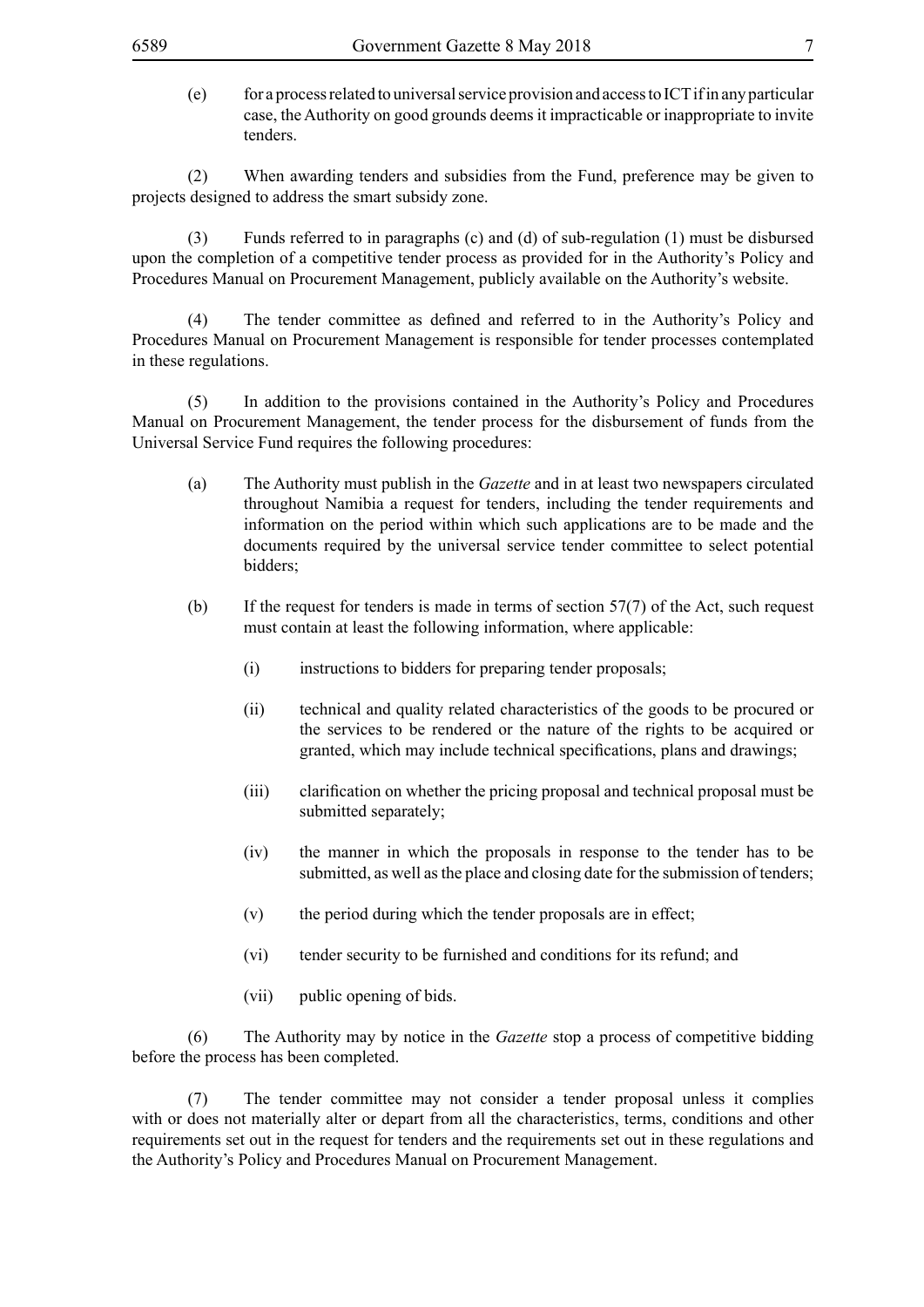(e) for a process related to universal service provision and access to ICT if in any particular case, the Authority on good grounds deems it impracticable or inappropriate to invite tenders.

(2) When awarding tenders and subsidies from the Fund, preference may be given to projects designed to address the smart subsidy zone.

(3) Funds referred to in paragraphs (c) and (d) of sub-regulation (1) must be disbursed upon the completion of a competitive tender process as provided for in the Authority's Policy and Procedures Manual on Procurement Management, publicly available on the Authority's website.

 (4) The tender committee as defined and referred to in the Authority's Policy and Procedures Manual on Procurement Management is responsible for tender processes contemplated in these regulations.

(5) In addition to the provisions contained in the Authority's Policy and Procedures Manual on Procurement Management, the tender process for the disbursement of funds from the Universal Service Fund requires the following procedures:

- (a) The Authority must publish in the *Gazette* and in at least two newspapers circulated throughout Namibia a request for tenders, including the tender requirements and information on the period within which such applications are to be made and the documents required by the universal service tender committee to select potential bidders;
- (b) If the request for tenders is made in terms of section  $57(7)$  of the Act, such request must contain at least the following information, where applicable:
	- (i) instructions to bidders for preparing tender proposals;
	- (ii) technical and quality related characteristics of the goods to be procured or the services to be rendered or the nature of the rights to be acquired or granted, which may include technical specifications, plans and drawings;
	- (iii) clarification on whether the pricing proposal and technical proposal must be submitted separately;
	- (iv) the manner in which the proposals in response to the tender has to be submitted, as well as the place and closing date for the submission of tenders;
	- (v) the period during which the tender proposals are in effect;
	- (vi) tender security to be furnished and conditions for its refund; and
	- (vii) public opening of bids.

(6) The Authority may by notice in the *Gazette* stop a process of competitive bidding before the process has been completed.

(7) The tender committee may not consider a tender proposal unless it complies with or does not materially alter or depart from all the characteristics, terms, conditions and other requirements set out in the request for tenders and the requirements set out in these regulations and the Authority's Policy and Procedures Manual on Procurement Management.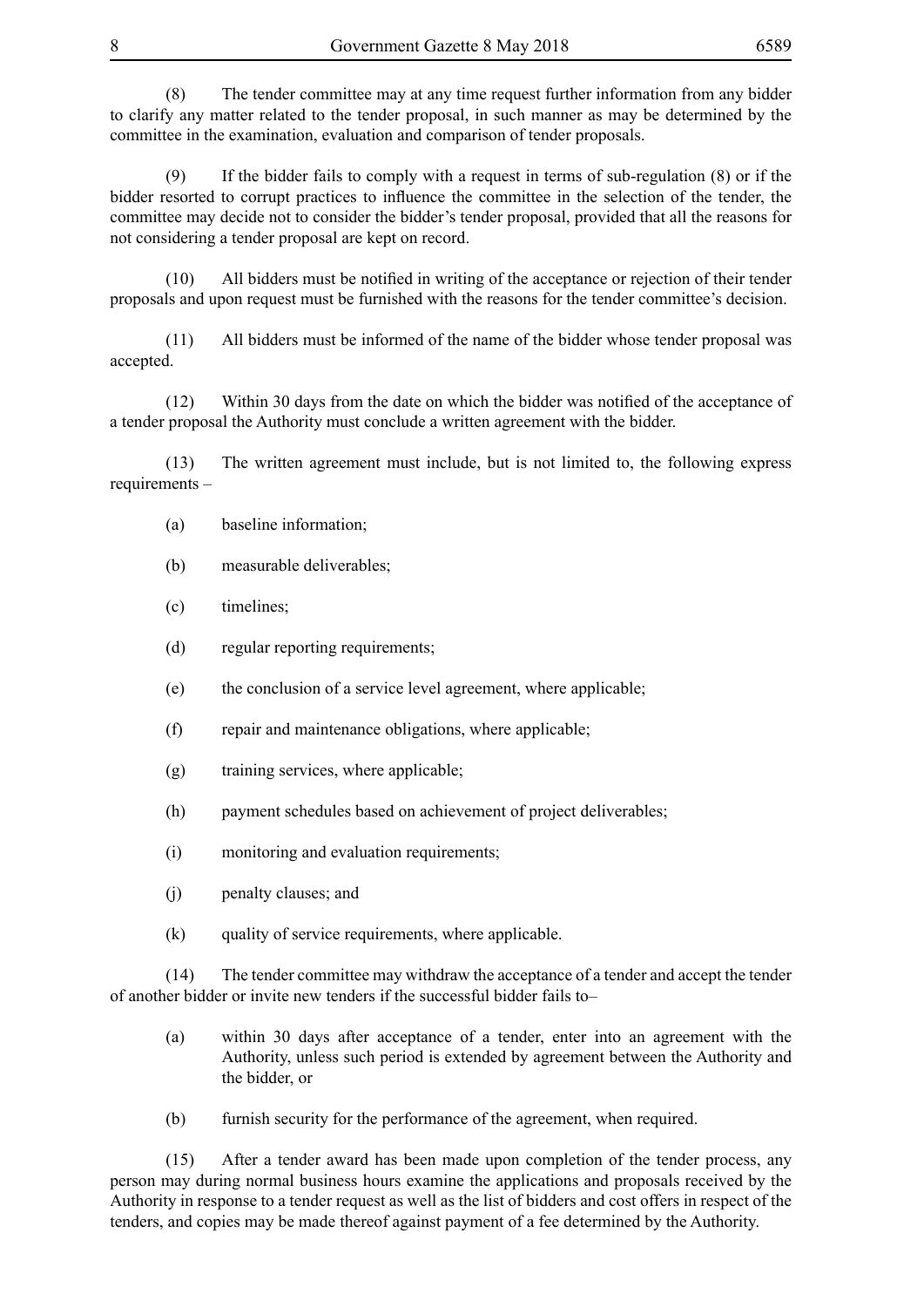(8) The tender committee may at any time request further information from any bidder to clarify any matter related to the tender proposal, in such manner as may be determined by the committee in the examination, evaluation and comparison of tender proposals.

(9) If the bidder fails to comply with a request in terms of sub-regulation (8) or if the bidder resorted to corrupt practices to influence the committee in the selection of the tender, the committee may decide not to consider the bidder's tender proposal, provided that all the reasons for not considering a tender proposal are kept on record.

 (10) All bidders must be notified in writing of the acceptance or rejection of their tender proposals and upon request must be furnished with the reasons for the tender committee's decision.

(11) All bidders must be informed of the name of the bidder whose tender proposal was accepted.

 (12) Within 30 days from the date on which the bidder was notified of the acceptance of a tender proposal the Authority must conclude a written agreement with the bidder.

(13) The written agreement must include, but is not limited to, the following express requirements –

- (a) baseline information;
- (b) measurable deliverables;
- (c) timelines;
- (d) regular reporting requirements;
- (e) the conclusion of a service level agreement, where applicable;
- (f) repair and maintenance obligations, where applicable;
- (g) training services, where applicable;
- (h) payment schedules based on achievement of project deliverables;
- (i) monitoring and evaluation requirements;
- (j) penalty clauses; and
- (k) quality of service requirements, where applicable.

(14) The tender committee may withdraw the acceptance of a tender and accept the tender of another bidder or invite new tenders if the successful bidder fails to–

- (a) within 30 days after acceptance of a tender, enter into an agreement with the Authority, unless such period is extended by agreement between the Authority and the bidder, or
- (b) furnish security for the performance of the agreement, when required.

(15) After a tender award has been made upon completion of the tender process, any person may during normal business hours examine the applications and proposals received by the Authority in response to a tender request as well as the list of bidders and cost offers in respect of the tenders, and copies may be made thereof against payment of a fee determined by the Authority.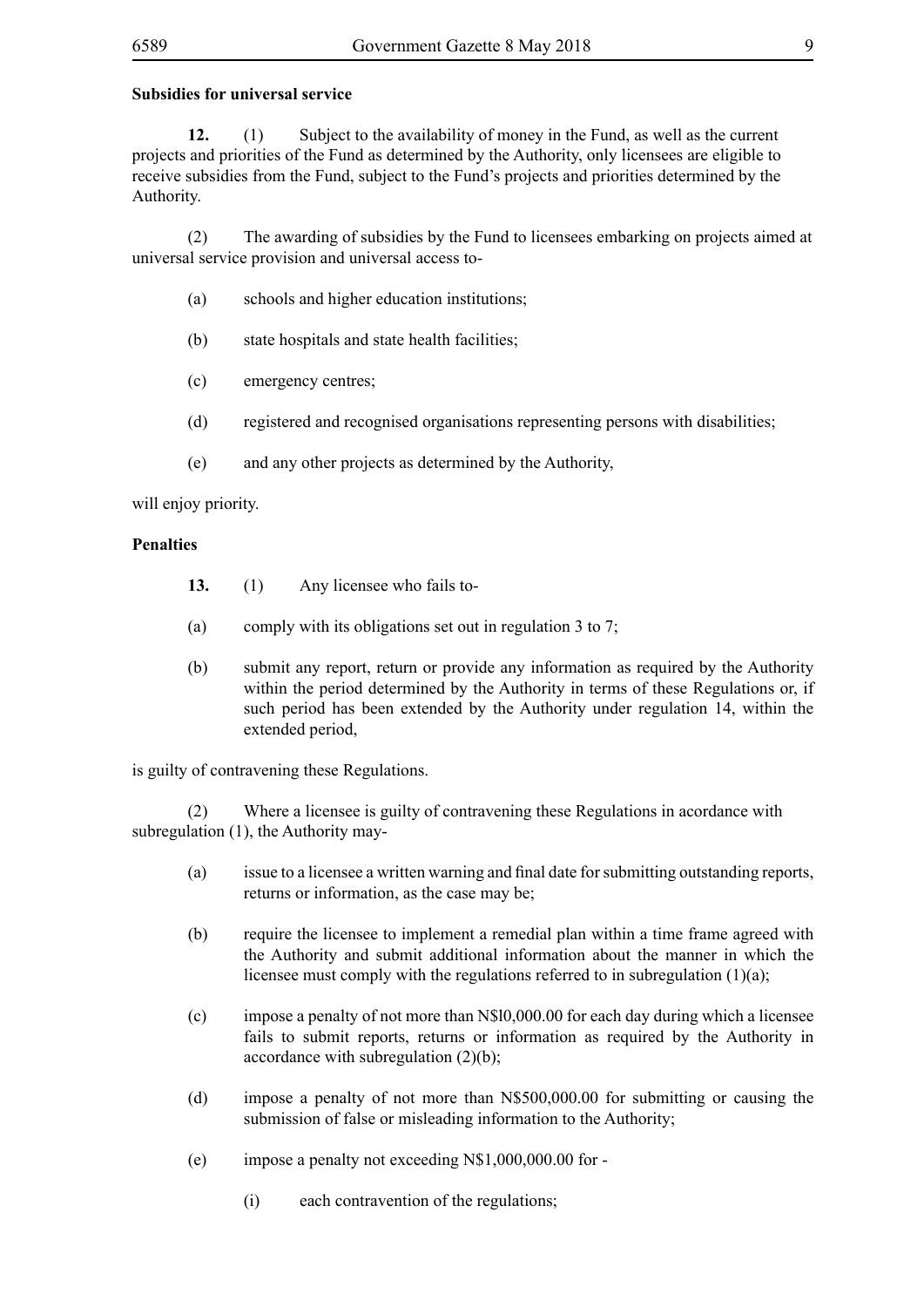### **Subsidies for universal service**

**12.** (1) Subject to the availability of money in the Fund, as well as the current projects and priorities of the Fund as determined by the Authority, only licensees are eligible to receive subsidies from the Fund, subject to the Fund's projects and priorities determined by the Authority.

(2) The awarding of subsidies by the Fund to licensees embarking on projects aimed at universal service provision and universal access to-

- (a) schools and higher education institutions;
- (b) state hospitals and state health facilities;
- (c) emergency centres;
- (d) registered and recognised organisations representing persons with disabilities;
- (e) and any other projects as determined by the Authority,

will enjoy priority.

#### **Penalties**

- **13.** (1) Any licensee who fails to-
- (a) comply with its obligations set out in regulation 3 to 7;
- (b) submit any report, return or provide any information as required by the Authority within the period determined by the Authority in terms of these Regulations or, if such period has been extended by the Authority under regulation 14, within the extended period,

is guilty of contravening these Regulations.

(2) Where a licensee is guilty of contravening these Regulations in acordance with subregulation (1), the Authority may-

- (a) issue to a licensee a written warning and final date for submitting outstanding reports, returns or information, as the case may be;
- (b) require the licensee to implement a remedial plan within a time frame agreed with the Authority and submit additional information about the manner in which the licensee must comply with the regulations referred to in subregulation (1)(a);
- (c) impose a penalty of not more than N\$l0,000.00 for each day during which a licensee fails to submit reports, returns or information as required by the Authority in accordance with subregulation (2)(b);
- (d) impose a penalty of not more than N\$500,000.00 for submitting or causing the submission of false or misleading information to the Authority;
- (e) impose a penalty not exceeding N\$1,000,000.00 for
	- (i) each contravention of the regulations;